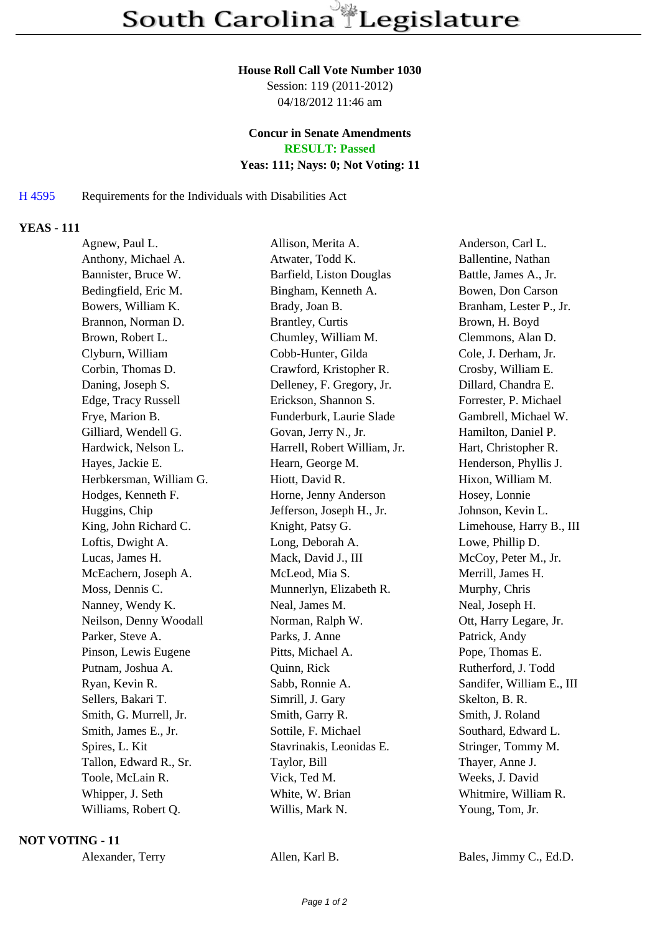### **House Roll Call Vote Number 1030**

Session: 119 (2011-2012) 04/18/2012 11:46 am

### **Concur in Senate Amendments RESULT: Passed**

### **Yeas: 111; Nays: 0; Not Voting: 11**

## H 4595 Requirements for the Individuals with Disabilities Act

# **YEAS - 111**

| Agnew, Paul L.          | Allison, Merita A.           | Anderson, Carl L.         |
|-------------------------|------------------------------|---------------------------|
| Anthony, Michael A.     | Atwater, Todd K.             | Ballentine, Nathan        |
| Bannister, Bruce W.     | Barfield, Liston Douglas     | Battle, James A., Jr.     |
| Bedingfield, Eric M.    | Bingham, Kenneth A.          | Bowen, Don Carson         |
| Bowers, William K.      | Brady, Joan B.               | Branham, Lester P., Jr.   |
| Brannon, Norman D.      | Brantley, Curtis             | Brown, H. Boyd            |
| Brown, Robert L.        | Chumley, William M.          | Clemmons, Alan D.         |
| Clyburn, William        | Cobb-Hunter, Gilda           | Cole, J. Derham, Jr.      |
| Corbin, Thomas D.       | Crawford, Kristopher R.      | Crosby, William E.        |
| Daning, Joseph S.       | Delleney, F. Gregory, Jr.    | Dillard, Chandra E.       |
| Edge, Tracy Russell     | Erickson, Shannon S.         | Forrester, P. Michael     |
| Frye, Marion B.         | Funderburk, Laurie Slade     | Gambrell, Michael W.      |
| Gilliard, Wendell G.    | Govan, Jerry N., Jr.         | Hamilton, Daniel P.       |
| Hardwick, Nelson L.     | Harrell, Robert William, Jr. | Hart, Christopher R.      |
| Hayes, Jackie E.        | Hearn, George M.             | Henderson, Phyllis J.     |
| Herbkersman, William G. | Hiott, David R.              | Hixon, William M.         |
| Hodges, Kenneth F.      | Horne, Jenny Anderson        | Hosey, Lonnie             |
| Huggins, Chip           | Jefferson, Joseph H., Jr.    | Johnson, Kevin L.         |
| King, John Richard C.   | Knight, Patsy G.             | Limehouse, Harry B., III  |
| Loftis, Dwight A.       | Long, Deborah A.             | Lowe, Phillip D.          |
| Lucas, James H.         | Mack, David J., III          | McCoy, Peter M., Jr.      |
| McEachern, Joseph A.    | McLeod, Mia S.               | Merrill, James H.         |
| Moss, Dennis C.         | Munnerlyn, Elizabeth R.      | Murphy, Chris             |
| Nanney, Wendy K.        | Neal, James M.               | Neal, Joseph H.           |
| Neilson, Denny Woodall  | Norman, Ralph W.             | Ott, Harry Legare, Jr.    |
| Parker, Steve A.        | Parks, J. Anne               | Patrick, Andy             |
| Pinson, Lewis Eugene    | Pitts, Michael A.            | Pope, Thomas E.           |
| Putnam, Joshua A.       | Quinn, Rick                  | Rutherford, J. Todd       |
| Ryan, Kevin R.          | Sabb, Ronnie A.              | Sandifer, William E., III |
| Sellers, Bakari T.      | Simrill, J. Gary             | Skelton, B. R.            |
| Smith, G. Murrell, Jr.  | Smith, Garry R.              | Smith, J. Roland          |
| Smith, James E., Jr.    | Sottile, F. Michael          | Southard, Edward L.       |
| Spires, L. Kit          | Stavrinakis, Leonidas E.     | Stringer, Tommy M.        |
| Tallon, Edward R., Sr.  | Taylor, Bill                 | Thayer, Anne J.           |
| Toole, McLain R.        | Vick, Ted M.                 | Weeks, J. David           |
| Whipper, J. Seth        | White, W. Brian              | Whitmire, William R.      |
| Williams, Robert Q.     | Willis, Mark N.              | Young, Tom, Jr.           |
|                         |                              |                           |

### **NOT VOTING - 11**

Alexander, Terry Allen, Karl B. Bales, Jimmy C., Ed.D.